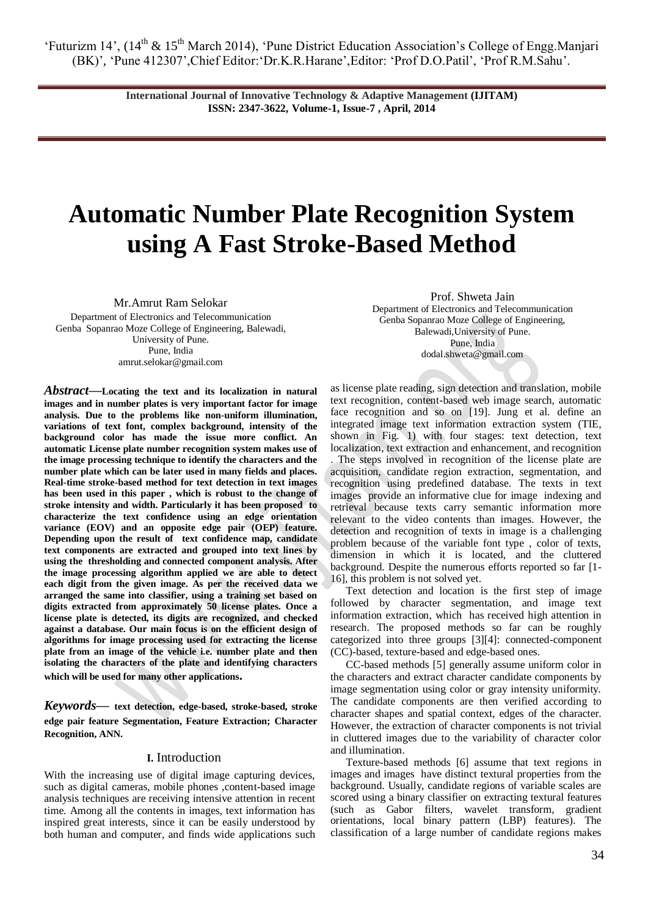> **International Journal of Innovative Technology & Adaptive Management (IJITAM) ISSN: 2347-3622, Volume-1, Issue-7 , April, 2014**

# **Automatic Number Plate Recognition System using A Fast Stroke-Based Method**

Mr.Amrut Ram Selokar

Department of Electronics and Telecommunication Genba Sopanrao Moze College of Engineering, Balewadi, University of Pune. Pune, India amrut.selokar@gmail.com

*Abstract—***Locating the text and its localization in natural images and in number plates is very important factor for image analysis. Due to the problems like non-uniform illumination, variations of text font, complex background, intensity of the background color has made the issue more conflict. An automatic License plate number recognition system makes use of the image processing technique to identify the characters and the number plate which can be later used in many fields and places. Real-time stroke-based method for text detection in text images has been used in this paper , which is robust to the change of stroke intensity and width. Particularly it has been proposed to characterize the text confidence using an edge orientation variance (EOV) and an opposite edge pair (OEP) feature. Depending upon the result of text confidence map, candidate text components are extracted and grouped into text lines by using the thresholding and connected component analysis. After the image processing algorithm applied we are able to detect each digit from the given image. As per the received data we arranged the same into classifier, using a training set based on digits extracted from approximately 50 license plates. Once a license plate is detected, its digits are recognized, and checked against a database. Our main focus is on the efficient design of algorithms for image processing used for extracting the license plate from an image of the vehicle i.e. number plate and then isolating the characters of the plate and identifying characters which will be used for many other applications.**

*Keywords***— text detection, edge-based, stroke-based, stroke edge pair feature Segmentation, Feature Extraction; Character Recognition, ANN.**

## **I.** Introduction

With the increasing use of digital image capturing devices, such as digital cameras, mobile phones , content-based image analysis techniques are receiving intensive attention in recent time. Among all the contents in images, text information has inspired great interests, since it can be easily understood by both human and computer, and finds wide applications such

Prof. Shweta Jain Department of Electronics and Telecommunication Genba Sopanrao Moze College of Engineering, Balewadi,University of Pune. Pune, India dodal.shweta@gmail.com

as license plate reading, sign detection and translation, mobile text recognition, content-based web image search, automatic face recognition and so on [19]. Jung et al. define an integrated image text information extraction system (TIE, shown in Fig. 1) with four stages: text detection, text localization, text extraction and enhancement, and recognition . The steps involved in recognition of the license plate are acquisition, candidate region extraction, segmentation, and recognition using predefined database. The texts in text images provide an informative clue for image indexing and retrieval because texts carry semantic information more relevant to the video contents than images. However, the detection and recognition of texts in image is a challenging problem because of the variable font type , color of texts, dimension in which it is located, and the cluttered background. Despite the numerous efforts reported so far [1- 16], this problem is not solved yet.

Text detection and location is the first step of image followed by character segmentation, and image text information extraction, which has received high attention in research. The proposed methods so far can be roughly categorized into three groups [3][4]: connected-component (CC)-based, texture-based and edge-based ones.

CC-based methods [5] generally assume uniform color in the characters and extract character candidate components by image segmentation using color or gray intensity uniformity. The candidate components are then verified according to character shapes and spatial context, edges of the character. However, the extraction of character components is not trivial in cluttered images due to the variability of character color and illumination.

Texture-based methods [6] assume that text regions in images and images have distinct textural properties from the background. Usually, candidate regions of variable scales are scored using a binary classifier on extracting textural features (such as Gabor filters, wavelet transform, gradient orientations, local binary pattern (LBP) features). The classification of a large number of candidate regions makes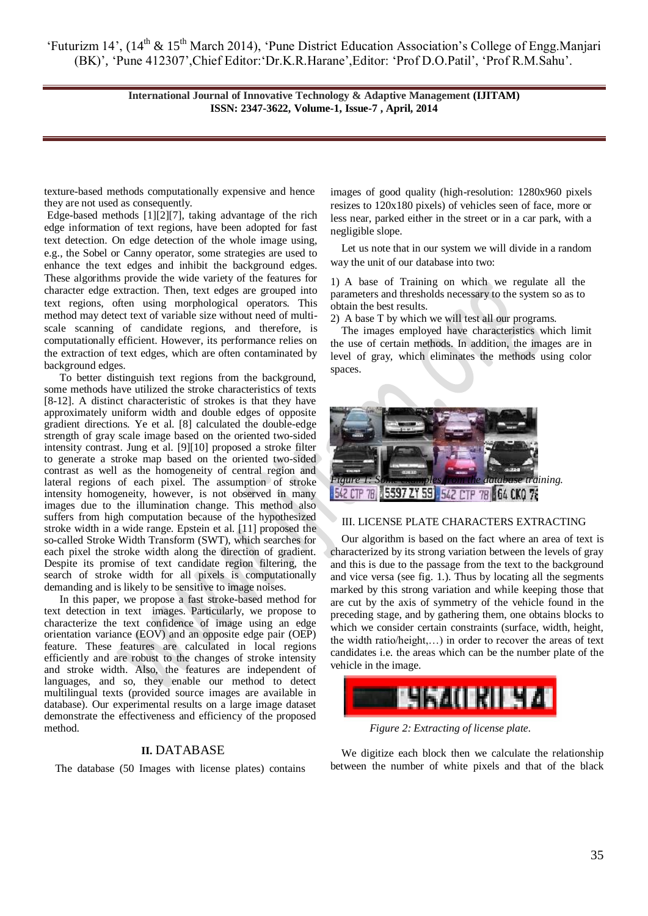> **International Journal of Innovative Technology & Adaptive Management (IJITAM) ISSN: 2347-3622, Volume-1, Issue-7 , April, 2014**

texture-based methods computationally expensive and hence they are not used as consequently.

Edge-based methods [1][2][7], taking advantage of the rich edge information of text regions, have been adopted for fast text detection. On edge detection of the whole image using, e.g., the Sobel or Canny operator, some strategies are used to enhance the text edges and inhibit the background edges. These algorithms provide the wide variety of the features for character edge extraction. Then, text edges are grouped into text regions, often using morphological operators. This method may detect text of variable size without need of multiscale scanning of candidate regions, and therefore, is computationally efficient. However, its performance relies on the extraction of text edges, which are often contaminated by background edges.

To better distinguish text regions from the background, some methods have utilized the stroke characteristics of texts [8-12]. A distinct characteristic of strokes is that they have approximately uniform width and double edges of opposite gradient directions. Ye et al. [8] calculated the double-edge strength of gray scale image based on the oriented two-sided intensity contrast. Jung et al. [9][10] proposed a stroke filter to generate a stroke map based on the oriented two-sided contrast as well as the homogeneity of central region and lateral regions of each pixel. The assumption of stroke intensity homogeneity, however, is not observed in many images due to the illumination change. This method also suffers from high computation because of the hypothesized stroke width in a wide range. Epstein et al. [11] proposed the so-called Stroke Width Transform (SWT), which searches for each pixel the stroke width along the direction of gradient. Despite its promise of text candidate region filtering, the search of stroke width for all pixels is computationally demanding and is likely to be sensitive to image noises.

In this paper, we propose a fast stroke-based method for text detection in text images. Particularly, we propose to characterize the text confidence of image using an edge orientation variance (EOV) and an opposite edge pair (OEP) feature. These features are calculated in local regions efficiently and are robust to the changes of stroke intensity and stroke width. Also, the features are independent of languages, and so, they enable our method to detect multilingual texts (provided source images are available in database). Our experimental results on a large image dataset demonstrate the effectiveness and efficiency of the proposed method.

## **II.** DATABASE

The database (50 Images with license plates) contains

images of good quality (high-resolution: 1280x960 pixels resizes to 120x180 pixels) of vehicles seen of face, more or less near, parked either in the street or in a car park, with a negligible slope.

Let us note that in our system we will divide in a random way the unit of our database into two:

1) A base of Training on which we regulate all the parameters and thresholds necessary to the system so as to obtain the best results.

2) A base T by which we will test all our programs.

The images employed have characteristics which limit the use of certain methods. In addition, the images are in level of gray, which eliminates the methods using color spaces.



## III. LICENSE PLATE CHARACTERS EXTRACTING

Our algorithm is based on the fact where an area of text is characterized by its strong variation between the levels of gray and this is due to the passage from the text to the background and vice versa (see fig. 1.). Thus by locating all the segments marked by this strong variation and while keeping those that are cut by the axis of symmetry of the vehicle found in the preceding stage, and by gathering them, one obtains blocks to which we consider certain constraints (surface, width, height, the width ratio/height,…) in order to recover the areas of text candidates i.e. the areas which can be the number plate of the vehicle in the image.



*Figure 2: Extracting of license plate.*

We digitize each block then we calculate the relationship between the number of white pixels and that of the black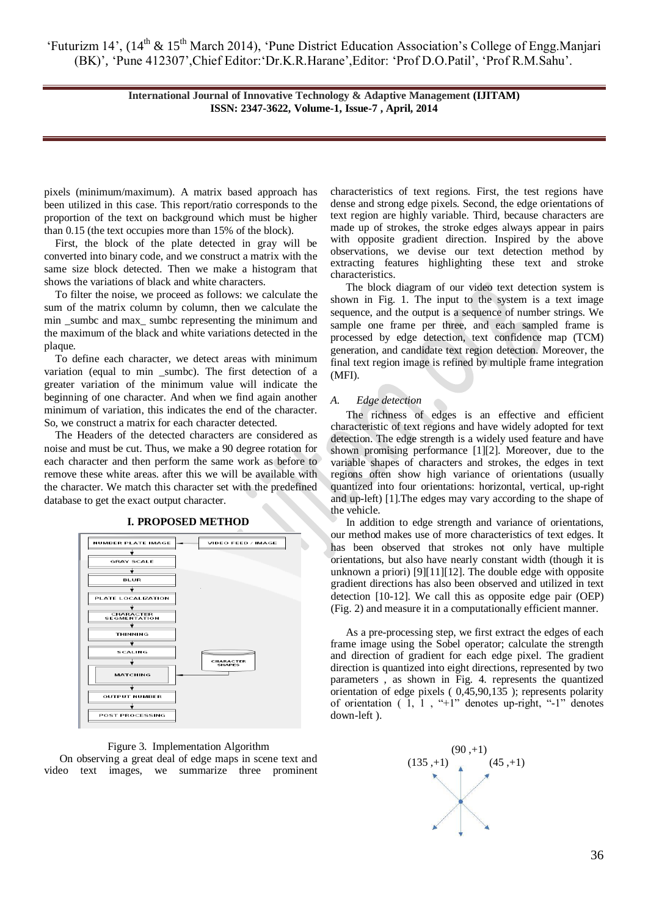> **International Journal of Innovative Technology & Adaptive Management (IJITAM) ISSN: 2347-3622, Volume-1, Issue-7 , April, 2014**

pixels (minimum/maximum). A matrix based approach has been utilized in this case. This report/ratio corresponds to the proportion of the text on background which must be higher than 0.15 (the text occupies more than 15% of the block).

First, the block of the plate detected in gray will be converted into binary code, and we construct a matrix with the same size block detected. Then we make a histogram that shows the variations of black and white characters.

To filter the noise, we proceed as follows: we calculate the sum of the matrix column by column, then we calculate the min sumbc and max sumbc representing the minimum and the maximum of the black and white variations detected in the plaque.

To define each character, we detect areas with minimum variation (equal to min \_sumbc). The first detection of a greater variation of the minimum value will indicate the beginning of one character. And when we find again another minimum of variation, this indicates the end of the character. So, we construct a matrix for each character detected.

The Headers of the detected characters are considered as noise and must be cut. Thus, we make a 90 degree rotation for each character and then perform the same work as before to remove these white areas. after this we will be available with the character. We match this character set with the predefined database to get the exact output character.



#### Figure 3. Implementation Algorithm

On observing a great deal of edge maps in scene text and video text images, we summarize three prominent characteristics of text regions. First, the test regions have dense and strong edge pixels. Second, the edge orientations of text region are highly variable. Third, because characters are made up of strokes, the stroke edges always appear in pairs with opposite gradient direction. Inspired by the above observations, we devise our text detection method by extracting features highlighting these text and stroke characteristics.

The block diagram of our video text detection system is shown in Fig. 1. The input to the system is a text image sequence, and the output is a sequence of number strings. We sample one frame per three, and each sampled frame is processed by edge detection, text confidence map (TCM) generation, and candidate text region detection. Moreover, the final text region image is refined by multiple frame integration (MFI).

#### *A. Edge detection*

The richness of edges is an effective and efficient characteristic of text regions and have widely adopted for text detection. The edge strength is a widely used feature and have shown promising performance [1][2]. Moreover, due to the variable shapes of characters and strokes, the edges in text regions often show high variance of orientations (usually quantized into four orientations: horizontal, vertical, up-right and up-left) [1].The edges may vary according to the shape of the vehicle.

In addition to edge strength and variance of orientations, our method makes use of more characteristics of text edges. It has been observed that strokes not only have multiple orientations, but also have nearly constant width (though it is unknown a priori) [9][11][12]. The double edge with opposite gradient directions has also been observed and utilized in text detection [10-12]. We call this as opposite edge pair (OEP) (Fig. 2) and measure it in a computationally efficient manner.

As a pre-processing step, we first extract the edges of each frame image using the Sobel operator; calculate the strength and direction of gradient for each edge pixel. The gradient direction is quantized into eight directions, represented by two parameters , as shown in Fig. 4. represents the quantized orientation of edge pixels ( 0,45,90,135 ); represents polarity of orientation  $(1, 1, \cdots +1)$ " denotes up-right, "-1" denotes down-left ).

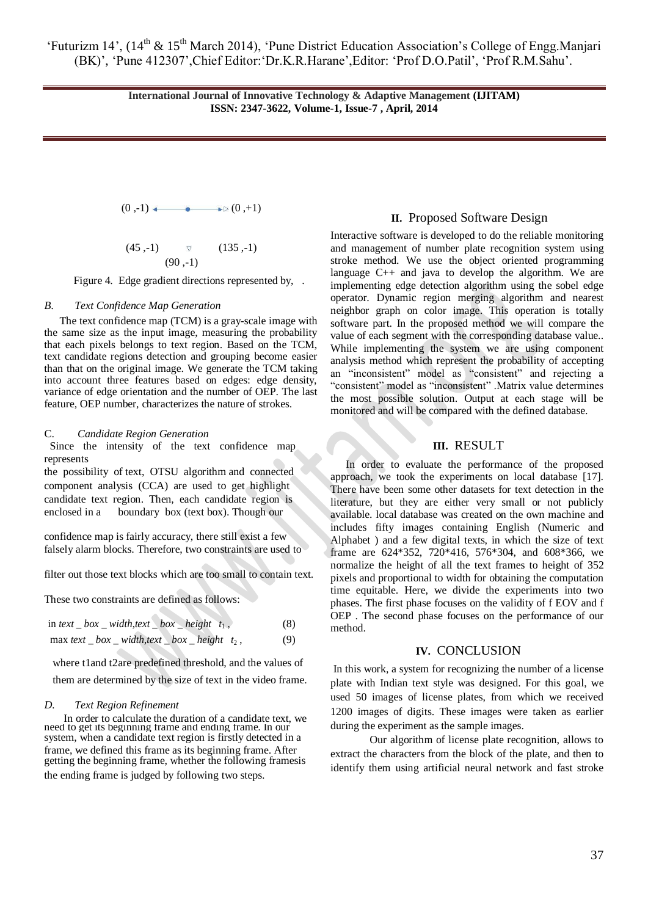> **International Journal of Innovative Technology & Adaptive Management (IJITAM) ISSN: 2347-3622, Volume-1, Issue-7 , April, 2014**

$$
(0,-1) \longleftrightarrow (0,+1)
$$
  
(45,-1)  $\triangledown$  (135,-1)  
(90,-1)

Figure 4. Edge gradient directions represented by, .

## *B. Text Confidence Map Generation*

The text confidence map (TCM) is a gray-scale image with the same size as the input image, measuring the probability that each pixels belongs to text region. Based on the TCM, text candidate regions detection and grouping become easier than that on the original image. We generate the TCM taking into account three features based on edges: edge density, variance of edge orientation and the number of OEP. The last feature, OEP number, characterizes the nature of strokes.

## C. *Candidate Region Generation*

 Since the intensity of the text confidence map represents

the possibility of text, OTSU algorithm and connected component analysis (CCA) are used to get highlight candidate text region. Then, each candidate region is enclosed in a boundary box (text box). Though our

confidence map is fairly accuracy, there still exist a few falsely alarm blocks. Therefore, two constraints are used to

filter out those text blocks which are too small to contain text.

These two constraints are defined as follows:

in text 
$$
\_\text{box} = \text{width}, \text{text} = \text{box} = \text{height } t_1,
$$
 (8)

$$
\max \text{ text} \_box_w width, \text{text} \_box_w height t_2, \tag{9}
$$

where t1and t2are predefined threshold, and the values of

them are determined by the size of text in the video frame.

## *D. Text Region Refinement*

In order to calculate the duration of a candidate text, we need to get its beginning frame and ending frame. In our system, when a candidate text region is firstly detected in a frame, we defined this frame as its beginning frame. After getting the beginning frame, whether the following framesis the ending frame is judged by following two steps.

### **II.** Proposed Software Design

Interactive software is developed to do the reliable monitoring and management of number plate recognition system using stroke method. We use the object oriented programming language C++ and java to develop the algorithm. We are implementing edge detection algorithm using the sobel edge operator. Dynamic region merging algorithm and nearest neighbor graph on color image. This operation is totally software part. In the proposed method we will compare the value of each segment with the corresponding database value.. While implementing the system we are using component analysis method which represent the probability of accepting an "inconsistent" model as "consistent" and rejecting a "consistent" model as "inconsistent" .Matrix value determines the most possible solution. Output at each stage will be monitored and will be compared with the defined database.

# **III.** RESULT

In order to evaluate the performance of the proposed approach, we took the experiments on local database [17]. There have been some other datasets for text detection in the literature, but they are either very small or not publicly available. local database was created on the own machine and includes fifty images containing English (Numeric and Alphabet ) and a few digital texts, in which the size of text frame are 624\*352, 720\*416, 576\*304, and 608\*366, we normalize the height of all the text frames to height of 352 pixels and proportional to width for obtaining the computation time equitable. Here, we divide the experiments into two phases. The first phase focuses on the validity of f EOV and f OEP . The second phase focuses on the performance of our method.

## **IV.** CONCLUSION

In this work, a system for recognizing the number of a license plate with Indian text style was designed. For this goal, we used 50 images of license plates, from which we received 1200 images of digits. These images were taken as earlier during the experiment as the sample images.

Our algorithm of license plate recognition, allows to extract the characters from the block of the plate, and then to identify them using artificial neural network and fast stroke